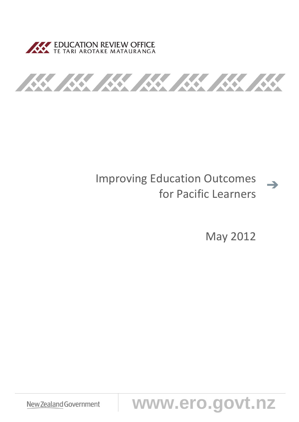



# Improving Education Outcomes for Pacific Learners

May 2012

 $\rightarrow$ 

**New Zealand Government WWW.ero.govt.nz**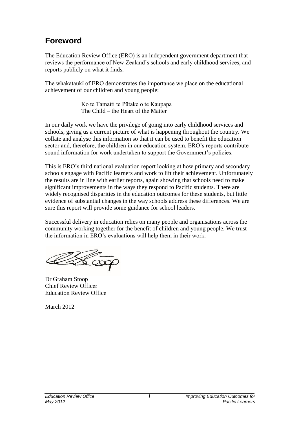# **Foreword**

The Education Review Office (ERO) is an independent government department that reviews the performance of New Zealand's schools and early childhood services, and reports publicly on what it finds.

The whakataukī of ERO demonstrates the importance we place on the educational achievement of our children and young people:

> Ko te Tamaiti te Pūtake o te Kaupapa The Child – the Heart of the Matter

In our daily work we have the privilege of going into early childhood services and schools, giving us a current picture of what is happening throughout the country. We collate and analyse this information so that it can be used to benefit the education sector and, therefore, the children in our education system. ERO's reports contribute sound information for work undertaken to support the Government's policies.

This is ERO's third national evaluation report looking at how primary and secondary schools engage with Pacific learners and work to lift their achievement. Unfortunately the results are in line with earlier reports, again showing that schools need to make significant improvements in the ways they respond to Pacific students. There are widely recognised disparities in the education outcomes for these students, but little evidence of substantial changes in the way schools address these differences. We are sure this report will provide some guidance for school leaders.

Successful delivery in education relies on many people and organisations across the community working together for the benefit of children and young people. We trust the information in ERO's evaluations will help them in their work.

Hoop

Dr Graham Stoop Chief Review Officer Education Review Office

March 2012

i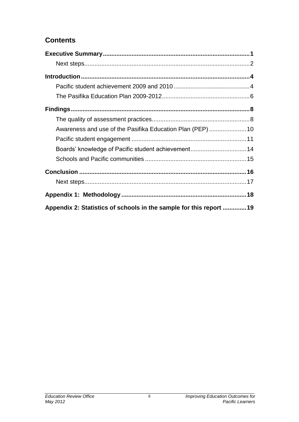### **Contents**

| Awareness and use of the Pasifika Education Plan (PEP)  10         |  |
|--------------------------------------------------------------------|--|
|                                                                    |  |
| Boards' knowledge of Pacific student achievement 14                |  |
|                                                                    |  |
|                                                                    |  |
|                                                                    |  |
|                                                                    |  |
| Appendix 2: Statistics of schools in the sample for this report 19 |  |

ii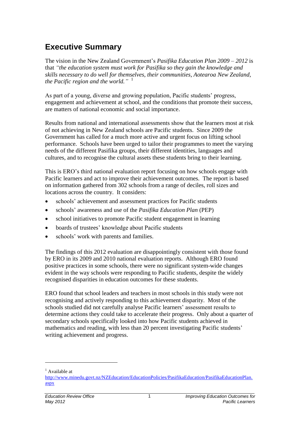# <span id="page-3-0"></span>**Executive Summary**

The vision in the New Zealand Government's *Pasifika Education Plan 2009 – 2012* is that *"the education system must work for Pasifika so they gain the knowledge and skills necessary to do well for themselves, their communities, Aotearoa New Zealand, the Pacific region and the world."* 1

As part of a young, diverse and growing population, Pacific students' progress, engagement and achievement at school, and the conditions that promote their success, are matters of national economic and social importance.

Results from national and international assessments show that the learners most at risk of not achieving in New Zealand schools are Pacific students. Since 2009 the Government has called for a much more active and urgent focus on lifting school performance. Schools have been urged to tailor their programmes to meet the varying needs of the different Pasifika groups, their different identities, languages and cultures, and to recognise the cultural assets these students bring to their learning.

This is ERO's third national evaluation report focusing on how schools engage with Pacific learners and act to improve their achievement outcomes. The report is based on information gathered from 302 schools from a range of deciles, roll sizes and locations across the country. It considers:

- schools' achievement and assessment practices for Pacific students
- schools' awareness and use of the *Pasifika Education Plan* (PEP)
- school initiatives to promote Pacific student engagement in learning
- boards of trustees' knowledge about Pacific students
- schools' work with parents and families.

The findings of this 2012 evaluation are disappointingly consistent with those found by ERO in its 2009 and 2010 national evaluation reports. Although ERO found positive practices in some schools, there were no significant system-wide changes evident in the way schools were responding to Pacific students, despite the widely recognised disparities in education outcomes for these students.

ERO found that school leaders and teachers in most schools in this study were not recognising and actively responding to this achievement disparity. Most of the schools studied did not carefully analyse Pacific learners' assessment results to determine actions they could take to accelerate their progress. Only about a quarter of secondary schools specifically looked into how Pacific students achieved in mathematics and reading, with less than 20 percent investigating Pacific students' writing achievement and progress.

 $<sup>1</sup>$  Available at</sup>

[http://www.minedu.govt.nz/NZEducation/EducationPolicies/PasifikaEducation/PasifikaEducationPlan.](http://www.minedu.govt.nz/NZEducation/EducationPolicies/PasifikaEducation/PasifikaEducationPlan.aspx) [aspx](http://www.minedu.govt.nz/NZEducation/EducationPolicies/PasifikaEducation/PasifikaEducationPlan.aspx)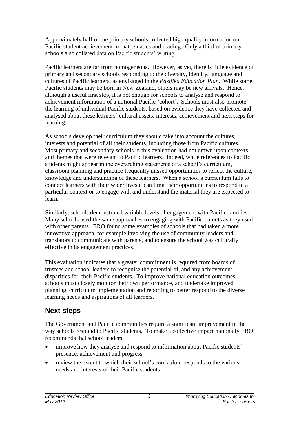Approximately half of the primary schools collected high quality information on Pacific student achievement in mathematics and reading. Only a third of primary schools also collated data on Pacific students' writing.

Pacific learners are far from homogeneous. However, as yet, there is little evidence of primary and secondary schools responding to the diversity, identity, language and cultures of Pacific learners, as envisaged in the *Pasifika Education Plan*. While some Pacific students may be born in New Zealand, others may be new arrivals. Hence, although a useful first step, it is not enough for schools to analyse and respond to achievement information of a notional Pacific 'cohort'. Schools must also promote the learning of individual Pacific students, based on evidence they have collected and analysed about these learners' cultural assets, interests, achievement and next steps for learning.

As schools develop their curriculum they should take into account the cultures, interests and potential of all their students, including those from Pacific cultures. Most primary and secondary schools in this evaluation had not drawn upon contexts and themes that were relevant to Pacific learners. Indeed, while references to Pacific students might appear in the overarching statements of a school's curriculum, classroom planning and practice frequently missed opportunities to reflect the culture, knowledge and understanding of these learners. When a school's curriculum fails to connect learners with their wider lives it can limit their opportunities to respond to a particular context or to engage with and understand the material they are expected to learn.

Similarly, schools demonstrated variable levels of engagement with Pacific families. Many schools used the same approaches to engaging with Pacific parents as they used with other parents. ERO found some examples of schools that had taken a more innovative approach, for example involving the use of community leaders and translators to communicate with parents, and to ensure the school was culturally effective in its engagement practices.

This evaluation indicates that a greater commitment is required from boards of trustees and school leaders to recognise the potential of, and any achievement disparities for, their Pacific students. To improve national education outcomes, schools must closely monitor their own performance, and undertake improved planning, curriculum implementation and reporting to better respond to the diverse learning needs and aspirations of all learners.

#### <span id="page-4-0"></span>**Next steps**

The Government and Pacific communities require a significant improvement in the way schools respond to Pacific students. To make a collective impact nationally ERO recommends that school leaders:

- improve how they analyse and respond to information about Pacific students' presence, achievement and progress
- review the extent to which their school's curriculum responds to the various needs and interests of their Pacific students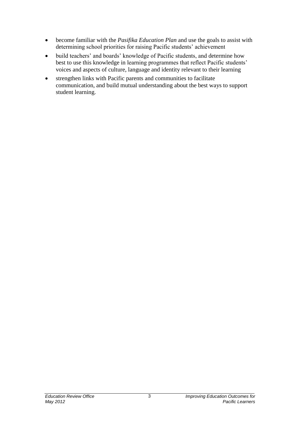- become familiar with the *Pasifika Education Plan* and use the goals to assist with determining school priorities for raising Pacific students' achievement
- build teachers' and boards' knowledge of Pacific students, and determine how best to use this knowledge in learning programmes that reflect Pacific students' voices and aspects of culture, language and identity relevant to their learning
- strengthen links with Pacific parents and communities to facilitate communication, and build mutual understanding about the best ways to support student learning.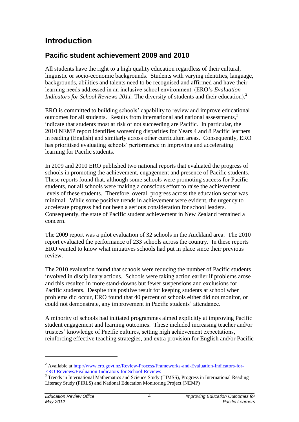# <span id="page-6-0"></span>**Introduction**

## <span id="page-6-1"></span>**Pacific student achievement 2009 and 2010**

All students have the right to a high quality education regardless of their cultural, linguistic or socio-economic backgrounds. Students with varying identities, language, backgrounds, abilities and talents need to be recognised and affirmed and have their learning needs addressed in an inclusive school environment. (ERO's *Evaluation Indicators for School Reviews 2011*: The diversity of students and their education).<sup>2</sup>

ERO is committed to building schools' capability to review and improve educational outcomes for all students. Results from international and national assessments, 3 indicate that students most at risk of not succeeding are Pacific. In particular, the 2010 NEMP report identifies worsening disparities for Years 4 and 8 Pacific learners in reading (English) and similarly across other curriculum areas. Consequently, ERO has prioritised evaluating schools' performance in improving and accelerating learning for Pacific students.

In 2009 and 2010 ERO published two national reports that evaluated the progress of schools in promoting the achievement, engagement and presence of Pacific students. These reports found that, although some schools were promoting success for Pacific students, not all schools were making a conscious effort to raise the achievement levels of these students. Therefore, overall progress across the education sector was minimal. While some positive trends in achievement were evident, the urgency to accelerate progress had not been a serious consideration for school leaders. Consequently, the state of Pacific student achievement in New Zealand remained a concern.

The 2009 report was a pilot evaluation of 32 schools in the Auckland area. The 2010 report evaluated the performance of 233 schools across the country. In these reports ERO wanted to know what initiatives schools had put in place since their previous review.

The 2010 evaluation found that schools were reducing the number of Pacific students involved in disciplinary actions. Schools were taking action earlier if problems arose and this resulted in more stand-downs but fewer suspensions and exclusions for Pacific students. Despite this positive result for keeping students at school when problems did occur, ERO found that 40 percent of schools either did not monitor, or could not demonstrate, any improvement in Pacific students' attendance.

A minority of schools had initiated programmes aimed explicitly at improving Pacific student engagement and learning outcomes. These included increasing teacher and/or trustees' knowledge of Pacific cultures, setting high achievement expectations, reinforcing effective teaching strategies, and extra provision for English and/or Pacific

<sup>&</sup>lt;sup>2</sup> Available a[t http://www.ero.govt.nz/Review-Process/Frameworks-and-Evaluation-Indicators-for-](http://www.ero.govt.nz/Review-Process/Frameworks-and-Evaluation-Indicators-for-ERO-Reviews/Evaluation-Indicators-for-School-Reviews)[ERO-Reviews/Evaluation-Indicators-for-School-Reviews](http://www.ero.govt.nz/Review-Process/Frameworks-and-Evaluation-Indicators-for-ERO-Reviews/Evaluation-Indicators-for-School-Reviews)

<sup>3</sup> Trends in International Mathematics and Science Study (TIMSS), Progress in International Reading Literacy Study **(**PIRLS**)** and National Education Monitoring Project (NEMP)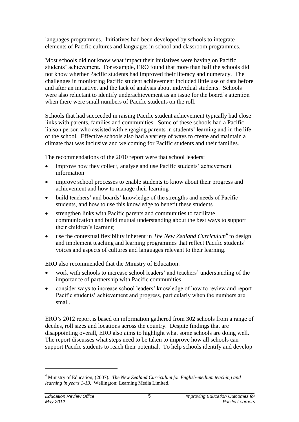languages programmes. Initiatives had been developed by schools to integrate elements of Pacific cultures and languages in school and classroom programmes.

Most schools did not know what impact their initiatives were having on Pacific students' achievement. For example, ERO found that more than half the schools did not know whether Pacific students had improved their literacy and numeracy. The challenges in monitoring Pacific student achievement included little use of data before and after an initiative, and the lack of analysis about individual students. Schools were also reluctant to identify underachievement as an issue for the board's attention when there were small numbers of Pacific students on the roll.

Schools that had succeeded in raising Pacific student achievement typically had close links with parents, families and communities. Some of these schools had a Pacific liaison person who assisted with engaging parents in students' learning and in the life of the school. Effective schools also had a variety of ways to create and maintain a climate that was inclusive and welcoming for Pacific students and their families.

The recommendations of the 2010 report were that school leaders:

- improve how they collect, analyse and use Pacific students' achievement information
- improve school processes to enable students to know about their progress and achievement and how to manage their learning
- build teachers' and boards' knowledge of the strengths and needs of Pacific students, and how to use this knowledge to benefit these students
- strengthen links with Pacific parents and communities to facilitate communication and build mutual understanding about the best ways to support their children's learning
- use the contextual flexibility inherent in *The New Zealand Curriculum*<sup>4</sup> to design and implement teaching and learning programmes that reflect Pacific students' voices and aspects of cultures and languages relevant to their learning.

ERO also recommended that the Ministry of Education:

- work with schools to increase school leaders' and teachers' understanding of the importance of partnership with Pacific communities
- consider ways to increase school leaders' knowledge of how to review and report Pacific students' achievement and progress, particularly when the numbers are small.

ERO's 2012 report is based on information gathered from 302 schools from a range of deciles, roll sizes and locations across the country. Despite findings that are disappointing overall, ERO also aims to highlight what some schools are doing well. The report discusses what steps need to be taken to improve how all schools can support Pacific students to reach their potential. To help schools identify and develop

<sup>4</sup> Ministry of Education, (2007). *The New Zealand Curriculum for English-medium teaching and learning in years 1-13.* Wellington: Learning Media Limited.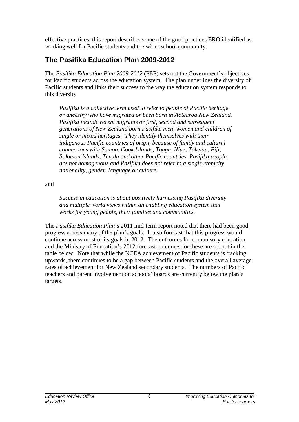effective practices, this report describes some of the good practices ERO identified as working well for Pacific students and the wider school community.

## <span id="page-8-0"></span>**The Pasifika Education Plan 2009-2012**

The *Pasifika Education Plan 2009-2012* (PEP) sets out the Government's objectives for Pacific students across the education system. The plan underlines the diversity of Pacific students and links their success to the way the education system responds to this diversity.

*Pasifika is a collective term used to refer to people of Pacific heritage or ancestry who have migrated or been born in Aotearoa New Zealand. Pasifika include recent migrants or first, second and subsequent generations of New Zealand born Pasifika men, women and children of single or mixed heritages. They identify themselves with their indigenous Pacific countries of origin because of family and cultural connections with Samoa, Cook Islands, Tonga, Niue, Tokelau, Fiji, Solomon Islands, Tuvalu and other Pacific countries. Pasifika people are not homogenous and Pasifika does not refer to a single ethnicity, nationality, gender, language or culture.*

and

*Success in education is about positively harnessing Pasifika diversity and multiple world views within an enabling education system that works for young people, their families and communities.*

The *Pasifika Education Plan*'s 2011 mid-term report noted that there had been good progress across many of the plan's goals. It also forecast that this progress would continue across most of its goals in 2012. The outcomes for compulsory education and the Ministry of Education's 2012 forecast outcomes for these are set out in the table below. Note that while the NCEA achievement of Pacific students is tracking upwards, there continues to be a gap between Pacific students and the overall average rates of achievement for New Zealand secondary students. The numbers of Pacific teachers and parent involvement on schools' boards are currently below the plan's targets.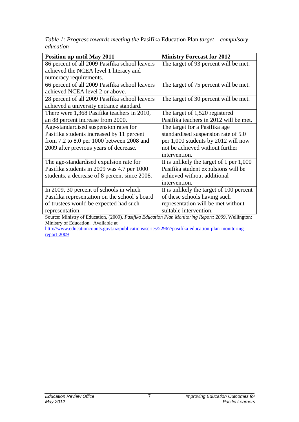*Table 1: Progress towards meeting the* Pasifika Education Plan *target – compulsory education*

| <b>Position up until May 2011</b>                                                                       | <b>Ministry Forecast for 2012</b>          |  |
|---------------------------------------------------------------------------------------------------------|--------------------------------------------|--|
| 86 percent of all 2009 Pasifika school leavers                                                          | The target of 93 percent will be met.      |  |
| achieved the NCEA level 1 literacy and                                                                  |                                            |  |
| numeracy requirements.                                                                                  |                                            |  |
| 66 percent of all 2009 Pasifika school leavers                                                          | The target of 75 percent will be met.      |  |
| achieved NCEA level 2 or above.                                                                         |                                            |  |
| 28 percent of all 2009 Pasifika school leavers                                                          | The target of 30 percent will be met.      |  |
| achieved a university entrance standard.                                                                |                                            |  |
| There were 1,368 Pasifika teachers in 2010,                                                             | The target of 1,520 registered             |  |
| an 88 percent increase from 2000.                                                                       | Pasifika teachers in 2012 will be met.     |  |
| Age-standardised suspension rates for                                                                   | The target for a Pasifika age              |  |
| Pasifika students increased by 11 percent                                                               | standardised suspension rate of 5.0        |  |
| from 7.2 to 8.0 per 1000 between 2008 and                                                               | per 1,000 students by 2012 will now        |  |
| 2009 after previous years of decrease.                                                                  | not be achieved without further            |  |
|                                                                                                         | intervention.                              |  |
| The age-standardised expulsion rate for                                                                 | It is unlikely the target of 1 per $1,000$ |  |
| Pasifika students in 2009 was 4.7 per 1000                                                              | Pasifika student expulsions will be        |  |
| students, a decrease of 8 percent since 2008.                                                           | achieved without additional                |  |
|                                                                                                         | intervention.                              |  |
| In 2009, 30 percent of schools in which                                                                 | It is unlikely the target of 100 percent   |  |
| Pasifika representation on the school's board                                                           | of these schools having such               |  |
| of trustees would be expected had such                                                                  | representation will be met without         |  |
| representation.                                                                                         | suitable intervention.                     |  |
| Source: Ministry of Education (2009) <i>Pasifika Education Plan Monitoring Report: 2009</i> Wellington: |                                            |  |

Source: Ministry of Education, (2009). *Pasifika Education Plan Monitoring Report: 2009*. Wellington: Ministry of Education. Available at

[http://www.educationcounts.govt.nz/publications/series/22967/pasifika-education-plan-monitoring](http://www.educationcounts.govt.nz/publications/series/22967/pasifika-education-plan-monitoring-report-2009)[report-2009](http://www.educationcounts.govt.nz/publications/series/22967/pasifika-education-plan-monitoring-report-2009)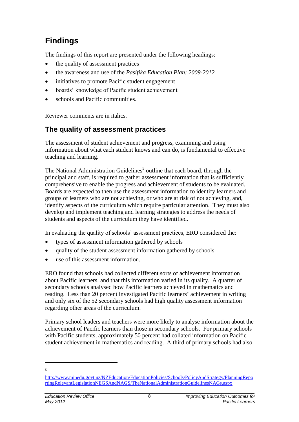# <span id="page-10-0"></span>**Findings**

The findings of this report are presented under the following headings:

- the quality of assessment practices
- the awareness and use of the *Pasifika Education Plan: 2009-2012*
- initiatives to promote Pacific student engagement
- boards' knowledge of Pacific student achievement
- schools and Pacific communities.

Reviewer comments are in italics.

## <span id="page-10-1"></span>**The quality of assessment practices**

The assessment of student achievement and progress, examining and using information about what each student knows and can do, is fundamental to effective teaching and learning.

The National Administration Guidelines<sup>5</sup> outline that each board, through the principal and staff, is required to gather assessment information that is sufficiently comprehensive to enable the progress and achievement of students to be evaluated. Boards are expected to then use the assessment information to identify learners and groups of learners who are not achieving, or who are at risk of not achieving, and, identify aspects of the curriculum which require particular attention. They must also develop and implement teaching and learning strategies to address the needs of students and aspects of the curriculum they have identified.

In evaluating the quality of schools' assessment practices, ERO considered the:

- types of assessment information gathered by schools
- quality of the student assessment information gathered by schools
- use of this assessment information.

ERO found that schools had collected different sorts of achievement information about Pacific learners, and that this information varied in its quality. A quarter of secondary schools analysed how Pacific learners achieved in mathematics and reading. Less than 20 percent investigated Pacific learners' achievement in writing and only six of the 52 secondary schools had high quality assessment information regarding other areas of the curriculum.

Primary school leaders and teachers were more likely to analyse information about the achievement of Pacific learners than those in secondary schools. For primary schools with Pacific students, approximately 50 percent had collated information on Pacific student achievement in mathematics and reading. A third of primary schools had also

[http://www.minedu.govt.nz/NZEducation/EducationPolicies/Schools/PolicyAndStrategy/PlanningRepo](http://www.minedu.govt.nz/NZEducation/EducationPolicies/Schools/PolicyAndStrategy/PlanningReportingRelevantLegislationNEGSAndNAGS/TheNationalAdministrationGuidelinesNAGs.aspx) [rtingRelevantLegislationNEGSAndNAGS/TheNationalAdministrationGuidelinesNAGs.aspx](http://www.minedu.govt.nz/NZEducation/EducationPolicies/Schools/PolicyAndStrategy/PlanningReportingRelevantLegislationNEGSAndNAGS/TheNationalAdministrationGuidelinesNAGs.aspx)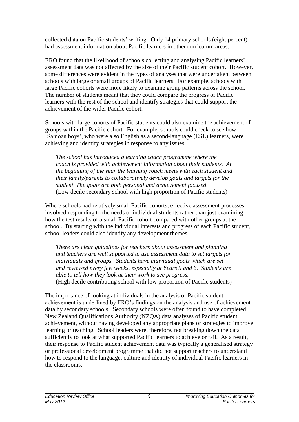collected data on Pacific students' writing. Only 14 primary schools (eight percent) had assessment information about Pacific learners in other curriculum areas.

ERO found that the likelihood of schools collecting and analysing Pacific learners' assessment data was not affected by the size of their Pacific student cohort. However, some differences were evident in the types of analyses that were undertaken, between schools with large or small groups of Pacific learners. For example, schools with large Pacific cohorts were more likely to examine group patterns across the school. The number of students meant that they could compare the progress of Pacific learners with the rest of the school and identify strategies that could support the achievement of the wider Pacific cohort.

Schools with large cohorts of Pacific students could also examine the achievement of groups within the Pacific cohort. For example, schools could check to see how 'Samoan boys', who were also English as a second-language (ESL) learners, were achieving and identify strategies in response to any issues.

*The school has introduced a learning coach programme where the coach is provided with achievement information about their students. At the beginning of the year the learning coach meets with each student and their family/parents to collaboratively develop goals and targets for the student. The goals are both personal and achievement focused.*  (Low decile secondary school with high proportion of Pacific students)

Where schools had relatively small Pacific cohorts, effective assessment processes involved responding to the needs of individual students rather than just examining how the test results of a small Pacific cohort compared with other groups at the school. By starting with the individual interests and progress of each Pacific student, school leaders could also identify any development themes.

*There are clear guidelines for teachers about assessment and planning and teachers are well supported to use assessment data to set targets for individuals and groups. Students have individual goals which are set and reviewed every few weeks, especially at Years 5 and 6. Students are able to tell how they look at their work to see progress.* (High decile contributing school with low proportion of Pacific students)

The importance of looking at individuals in the analysis of Pacific student achievement is underlined by ERO's findings on the analysis and use of achievement data by secondary schools. Secondary schools were often found to have completed New Zealand Qualifications Authority (NZQA) data analyses of Pacific student achievement, without having developed any appropriate plans or strategies to improve learning or teaching. School leaders were, therefore, not breaking down the data sufficiently to look at what supported Pacific learners to achieve or fail. As a result, their response to Pacific student achievement data was typically a generalised strategy or professional development programme that did not support teachers to understand how to respond to the language, culture and identity of individual Pacific learners in the classrooms.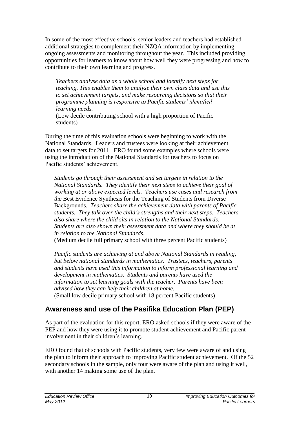In some of the most effective schools, senior leaders and teachers had established additional strategies to complement their NZQA information by implementing ongoing assessments and monitoring throughout the year. This included providing opportunities for learners to know about how well they were progressing and how to contribute to their own learning and progress.

*Teachers analyse data as a whole school and identify next steps for teaching. This enables them to analyse their own class data and use this to set achievement targets, and make resourcing decisions so that their programme planning is responsive to Pacific students' identified learning needs.*

(Low decile contributing school with a high proportion of Pacific students)

During the time of this evaluation schools were beginning to work with the National Standards. Leaders and trustees were looking at their achievement data to set targets for 2011. ERO found some examples where schools were using the introduction of the National Standards for teachers to focus on Pacific students' achievement.

*Students go through their assessment and set targets in relation to the National Standards. They identify their next steps to achieve their goal of working at or above expected levels. Teachers use cases and research from the* Best Evidence Synthesis for the Teaching of Students from Diverse Backgrounds*. Teachers share the achievement data with parents of Pacific students. They talk over the child's strengths and their next steps. Teachers also share where the child sits in relation to the National Standards. Students are also shown their assessment data and where they should be at in relation to the National Standards.* 

(Medium decile full primary school with three percent Pacific students)

*Pacific students are achieving at and above National Standards in reading, but below national standards in mathematics. Trustees, teachers, parents and students have used this information to inform professional learning and development in mathematics. Students and parents have used the information to set learning goals with the teacher. Parents have been advised how they can help their children at home.*  (Small low decile primary school with 18 percent Pacific students)

# <span id="page-12-0"></span>**Awareness and use of the Pasifika Education Plan (PEP)**

As part of the evaluation for this report, ERO asked schools if they were aware of the PEP and how they were using it to promote student achievement and Pacific parent involvement in their children's learning.

ERO found that of schools with Pacific students, very few were aware of and using the plan to inform their approach to improving Pacific student achievement. Of the 52 secondary schools in the sample, only four were aware of the plan and using it well, with another 14 making some use of the plan.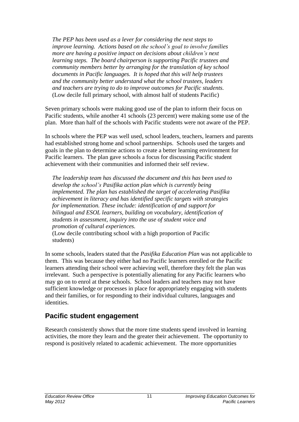*The PEP has been used as a lever for considering the next steps to improve learning. Actions based on the school's goal to involve families more are having a positive impact on decisions about children's next learning steps. The board chairperson is supporting Pacific trustees and community members better by arranging for the translation of key school documents in Pacific languages. It is hoped that this will help trustees and the community better understand what the school trustees, leaders and teachers are trying to do to improve outcomes for Pacific students.*  (Low decile full primary school, with almost half of students Pacific)

Seven primary schools were making good use of the plan to inform their focus on Pacific students, while another 41 schools (23 percent) were making some use of the plan. More than half of the schools with Pacific students were not aware of the PEP.

In schools where the PEP was well used, school leaders, teachers, learners and parents had established strong home and school partnerships. Schools used the targets and goals in the plan to determine actions to create a better learning environment for Pacific learners. The plan gave schools a focus for discussing Pacific student achievement with their communities and informed their self review.

*The leadership team has discussed the document and this has been used to develop the school's Pasifika action plan which is currently being implemented. The plan has established the target of accelerating Pasifika achievement in literacy and has identified specific targets with strategies for implementation. These include: identification of and support for bilingual and ESOL learners, building on vocabulary, identification of students in assessment, inquiry into the use of student voice and promotion of cultural experiences.* 

(Low decile contributing school with a high proportion of Pacific students)

In some schools, leaders stated that the *Pasifika Education Plan* was not applicable to them. This was because they either had no Pacific learners enrolled or the Pacific learners attending their school were achieving well, therefore they felt the plan was irrelevant. Such a perspective is potentially alienating for any Pacific learners who may go on to enrol at these schools. School leaders and teachers may not have sufficient knowledge or processes in place for appropriately engaging with students and their families, or for responding to their individual cultures, languages and identities.

#### <span id="page-13-0"></span>**Pacific student engagement**

Research consistently shows that the more time students spend involved in learning activities, the more they learn and the greater their achievement. The opportunity to respond is positively related to academic achievement. The more opportunities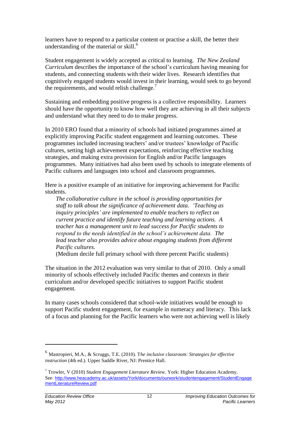learners have to respond to a particular content or practise a skill, the better their understanding of the material or skill.<sup>6</sup>

Student engagement is widely accepted as critical to learning. *The New Zealand Curriculum* describes the importance of the school's curriculum having meaning for students, and connecting students with their wider lives. Research identifies that cognitively engaged students would invest in their learning, would seek to go beyond the requirements, and would relish challenge. $<sup>7</sup>$ </sup>

Sustaining and embedding positive progress is a collective responsibility. Learners should have the opportunity to know how well they are achieving in all their subjects and understand what they need to do to make progress.

In 2010 ERO found that a minority of schools had initiated programmes aimed at explicitly improving Pacific student engagement and learning outcomes. These programmes included increasing teachers' and/or trustees' knowledge of Pacific cultures, setting high achievement expectations, reinforcing effective teaching strategies, and making extra provision for English and/or Pacific languages programmes. Many initiatives had also been used by schools to integrate elements of Pacific cultures and languages into school and classroom programmes.

Here is a positive example of an initiative for improving achievement for Pacific students.

*The collaborative culture in the school is providing opportunities for staff to talk about the significance of achievement data. 'Teaching as inquiry principles' are implemented to enable teachers to reflect on current practice and identify future teaching and learning actions. A teacher has a management unit to lead success for Pacific students to respond to the needs identified in the school's achievement data. The lead teacher also provides advice about engaging students from different Pacific cultures.* 

(Medium decile full primary school with three percent Pacific students)

The situation in the 2012 evaluation was very similar to that of 2010. Only a small minority of schools effectively included Pacific themes and contexts in their curriculum and/or developed specific initiatives to support Pacific student engagement.

In many cases schools considered that school-wide initiatives would be enough to support Pacific student engagement, for example in numeracy and literacy. This lack of a focus and planning for the Pacific learners who were not achieving well is likely

<sup>6</sup> Mastropieri, M.A., & Scruggs, T.E. (2010). T*he inclusive classroom: Strategies for effective instruction* (4th ed.). Upper Saddle River, NJ: Prentice Hall.

<sup>7</sup> Trowler, V (2010) *Student Engagement Literature Review*. York: Higher Education Academy. See: [http://www.heacademy.ac.uk/assets/York/documents/ourwork/studentengagement/StudentEngage](http://www.heacademy.ac.uk/assets/York/documents/ourwork/studentengagement/StudentEngagementLiteratureReview.pdf) [mentLiteratureReview.pdf](http://www.heacademy.ac.uk/assets/York/documents/ourwork/studentengagement/StudentEngagementLiteratureReview.pdf)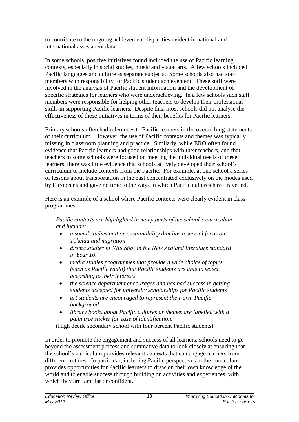to contribute to the ongoing achievement disparities evident in national and international assessment data.

In some schools, positive initiatives found included the use of Pacific learning contexts, especially in social studies, music and visual arts. A few schools included Pacific languages and culture as separate subjects. Some schools also had staff members with responsibility for Pacific student achievement. These staff were involved in the analysis of Pacific student information and the development of specific strategies for learners who were underachieving. In a few schools such staff members were responsible for helping other teachers to develop their professional skills in supporting Pacific learners. Despite this, most schools did not analyse the effectiveness of these initiatives in terms of their benefits for Pacific learners.

Primary schools often had references to Pacific learners in the overarching statements of their curriculum. However, the use of Pacific contexts and themes was typically missing in classroom planning and practice. Similarly, while ERO often found evidence that Pacific learners had good relationships with their teachers, and that teachers in some schools were focused on meeting the individual needs of these learners, there was little evidence that schools actively developed their school's curriculum to include contexts from the Pacific. For example, at one school a series of lessons about transportation in the past concentrated exclusively on the modes used by Europeans and gave no time to the ways in which Pacific cultures have travelled.

Here is an example of a school where Pacific contexts were clearly evident in class programmes.

*Pacific contexts are highlighted in many parts of the school's curriculum and include:*

- *a social studies unit on sustainability that has a special focus on Tokelau and migration*
- *drama studies in 'Niu Sila' in the New Zealand literature standard in Year 10.*
- *media studies programmes that provide a wide choice of topics (such as Pacific radio) that Pacific students are able to select according to their interests*
- *the science department encourages and has had success in getting students accepted for university scholarships for Pacific students*
- *art students are encouraged to represent their own Pacific background.*
- *library books about Pacific cultures or themes are labelled with a palm tree sticker for ease of identification.*

(High decile secondary school with four percent Pacific students)

In order to promote the engagement and success of all learners, schools need to go beyond the assessment process and summative data to look closely at ensuring that the school's curriculum provides relevant contexts that can engage learners from different cultures. In particular, including Pacific perspectives in the curriculum provides opportunities for Pacific learners to draw on their own knowledge of the world and to enable success through building on activities and experiences, with which they are familiar or confident.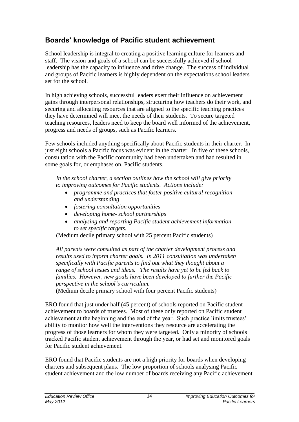# <span id="page-16-0"></span>**Boards' knowledge of Pacific student achievement**

School leadership is integral to creating a positive learning culture for learners and staff. The vision and goals of a school can be successfully achieved if school leadership has the capacity to influence and drive change. The success of individual and groups of Pacific learners is highly dependent on the expectations school leaders set for the school.

In high achieving schools, successful leaders exert their influence on achievement gains through interpersonal relationships, structuring how teachers do their work, and securing and allocating resources that are aligned to the specific teaching practices they have determined will meet the needs of their students. To secure targeted teaching resources, leaders need to keep the board well informed of the achievement, progress and needs of groups, such as Pacific learners.

Few schools included anything specifically about Pacific students in their charter. In just eight schools a Pacific focus was evident in the charter. In five of these schools, consultation with the Pacific community had been undertaken and had resulted in some goals for, or emphases on, Pacific students.

*In the school charter, a section outlines how the school will give priority to improving outcomes for Pacific students. Actions include:*

- *programme and practices that foster positive cultural recognition and understanding*
- *fostering consultation opportunities*
- *developing home- school partnerships*
- *analysing and reporting Pacific student achievement information to set specific targets.*

(Medium decile primary school with 25 percent Pacific students)

*All parents were consulted as part of the charter development process and results used to inform charter goals. In 2011 consultation was undertaken specifically with Pacific parents to find out what they thought about a range of school issues and ideas. The results have yet to be fed back to families. However, new goals have been developed to further the Pacific perspective in the school's curriculum.*

(Medium decile primary school with four percent Pacific students)

ERO found that just under half (45 percent) of schools reported on Pacific student achievement to boards of trustees. Most of these only reported on Pacific student achievement at the beginning and the end of the year. Such practice limits trustees' ability to monitor how well the interventions they resource are accelerating the progress of those learners for whom they were targeted. Only a minority of schools tracked Pacific student achievement through the year, or had set and monitored goals for Pacific student achievement.

ERO found that Pacific students are not a high priority for boards when developing charters and subsequent plans. The low proportion of schools analysing Pacific student achievement and the low number of boards receiving any Pacific achievement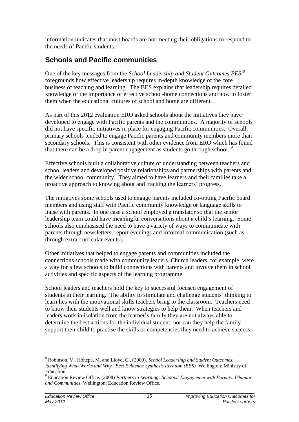information indicates that most boards are not meeting their obligations to respond to the needs of Pacific students.

## <span id="page-17-0"></span>**Schools and Pacific communities**

One of the key messages from the *School Leadership and Student Outcomes BES* <sup>8</sup> foregrounds how effective leadership requires in-depth knowledge of the core business of teaching and learning. The BES explains that leadership requires detailed knowledge of the importance of effective school-home connections and how to foster them when the educational cultures of school and home are different.

As part of this 2012 evaluation ERO asked schools about the initiatives they have developed to engage with Pacific parents and the communities. A majority of schools did not have specific initiatives in place for engaging Pacific communities. Overall, primary schools tended to engage Pacific parents and community members more than secondary schools. This is consistent with other evidence from ERO which has found that there can be a drop in parent engagement as students go through school.  $9$ 

Effective schools built a collaborative culture of understanding between teachers and school leaders and developed positive relationships and partnerships with parents and the wider school community. They aimed to have learners and their families take a proactive approach to knowing about and tracking the learners' progress.

The initiatives some schools used to engage parents included co-opting Pacific board members and using staff with Pacific community knowledge or language skills to liaise with parents. In one case a school employed a translator so that the senior leadership team could have meaningful conversations about a child's learning. Some schools also emphasised the need to have a variety of ways to communicate with parents through newsletters, report evenings and informal communication (such as through extra-curricular events).

Other initiatives that helped to engage parents and communities included the connections schools made with community leaders. Church leaders, for example, were a way for a few schools to build connections with parents and involve them in school activities and specific aspects of the learning programme.

School leaders and teachers hold the key to successful focused engagement of students in their learning. The ability to stimulate and challenge students' thinking to learn lies with the motivational skills teachers bring to the classroom. Teachers need to know their students well and know strategies to help them. When teachers and leaders work in isolation from the learner's family they are not always able to determine the best actions for the individual student, nor can they help the family support their child to practise the skills or competencies they need to achieve success.

<sup>8</sup> Robinson, V., Hohepa, M. and Lloyd, C., (2009). *School Leadership and Student Outcomes: Identifying What Works and Why. Best Evidence Synthesis Iteration (BES).* Wellington: Ministry of Education.

<sup>9</sup> Education Review Office, (2008) *Partners in Learning: Schools' Engagement with Parents, Whānau and Communities*. Wellington: Education Review Office.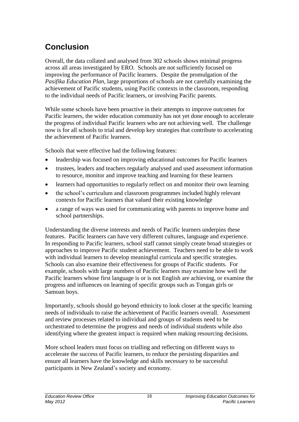# <span id="page-18-0"></span>**Conclusion**

Overall, the data collated and analysed from 302 schools shows minimal progress across all areas investigated by ERO. Schools are not sufficiently focused on improving the performance of Pacific learners. Despite the promulgation of the *Pasifika Education Plan*, large proportions of schools are not carefully examining the achievement of Pacific students, using Pacific contexts in the classroom, responding to the individual needs of Pacific learners, or involving Pacific parents.

While some schools have been proactive in their attempts to improve outcomes for Pacific learners, the wider education community has not yet done enough to accelerate the progress of individual Pacific learners who are not achieving well. The challenge now is for all schools to trial and develop key strategies that contribute to accelerating the achievement of Pacific learners.

Schools that were effective had the following features:

- leadership was focused on improving educational outcomes for Pacific learners
- trustees, leaders and teachers regularly analysed and used assessment information to resource, monitor and improve teaching and learning for these learners
- learners had opportunities to regularly reflect on and monitor their own learning
- the school's curriculum and classroom programmes included highly relevant contexts for Pacific learners that valued their existing knowledge
- a range of ways was used for communicating with parents to improve home and school partnerships.

Understanding the diverse interests and needs of Pacific learners underpins these features. Pacific learners can have very different cultures, language and experience. In responding to Pacific learners, school staff cannot simply create broad strategies or approaches to improve Pacific student achievement. Teachers need to be able to work with individual learners to develop meaningful curricula and specific strategies. Schools can also examine their effectiveness for groups of Pacific students. For example, schools with large numbers of Pacific learners may examine how well the Pacific learners whose first language is or is not English are achieving, or examine the progress and influences on learning of specific groups such as Tongan girls or Samoan boys.

Importantly, schools should go beyond ethnicity to look closer at the specific learning needs of individuals to raise the achievement of Pacific learners overall. Assessment and review processes related to individual and groups of students need to be orchestrated to determine the progress and needs of individual students while also identifying where the greatest impact is required when making resourcing decisions.

More school leaders must focus on trialling and reflecting on different ways to accelerate the success of Pacific learners, to reduce the persisting disparities and ensure all learners have the knowledge and skills necessary to be successful participants in New Zealand's society and economy.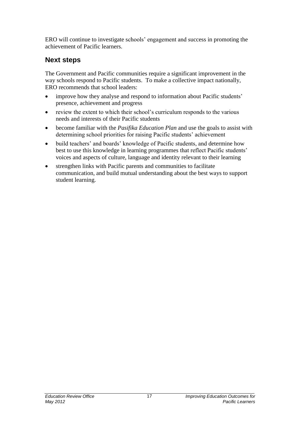ERO will continue to investigate schools' engagement and success in promoting the achievement of Pacific learners.

### <span id="page-19-0"></span>**Next steps**

The Government and Pacific communities require a significant improvement in the way schools respond to Pacific students. To make a collective impact nationally, ERO recommends that school leaders:

- improve how they analyse and respond to information about Pacific students' presence, achievement and progress
- review the extent to which their school's curriculum responds to the various needs and interests of their Pacific students
- become familiar with the *Pasifika Education Plan* and use the goals to assist with determining school priorities for raising Pacific students' achievement
- build teachers' and boards' knowledge of Pacific students, and determine how best to use this knowledge in learning programmes that reflect Pacific students' voices and aspects of culture, language and identity relevant to their learning
- strengthen links with Pacific parents and communities to facilitate communication, and build mutual understanding about the best ways to support student learning.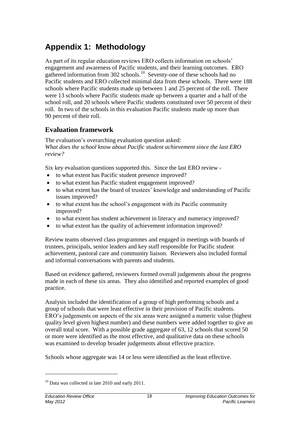# <span id="page-20-0"></span>**Appendix 1: Methodology**

As part of its regular education reviews ERO collects information on schools' engagement and awareness of Pacific students, and their learning outcomes. ERO gathered information from 302 schools.<sup>10</sup> Seventy-one of these schools had no Pacific students and ERO collected minimal data from these schools. There were 188 schools where Pacific students made up between 1 and 25 percent of the roll. There were 13 schools where Pacific students made up between a quarter and a half of the school roll, and 20 schools where Pacific students constituted over 50 percent of their roll. In two of the schools in this evaluation Pacific students made up more than 90 percent of their roll.

#### **Evaluation framework**

The evaluation's overarching evaluation question asked: *What does the school know about Pacific student achievement since the last ERO review?* 

Six key evaluation questions supported this. Since the last ERO review -

- to what extent has Pacific student presence improved?
- to what extent has Pacific student engagement improved?
- to what extent has the board of trustees' knowledge and understanding of Pacific issues improved?
- to what extent has the school's engagement with its Pacific community improved?
- to what extent has student achievement in literacy and numeracy improved?
- to what extent has the quality of achievement information improved?

Review teams observed class programmes and engaged in meetings with boards of trustees, principals, senior leaders and key staff responsible for Pacific student achievement, pastoral care and community liaison. Reviewers also included formal and informal conversations with parents and students.

Based on evidence gathered, reviewers formed overall judgements about the progress made in each of these six areas. They also identified and reported examples of good practice.

Analysis included the identification of a group of high performing schools and a group of schools that were least effective in their provision of Pacific students. ERO's judgements on aspects of the six areas were assigned a numeric value (highest quality level given highest number) and these numbers were added together to give an overall total score. With a possible grade aggregate of 63, 12 schools that scored 50 or more were identified as the most effective, and qualitative data on these schools was examined to develop broader judgements about effective practice.

Schools whose aggregate was 14 or less were identified as the least effective.

<sup>&</sup>lt;sup>10</sup> Data was collected in late 2010 and early 2011.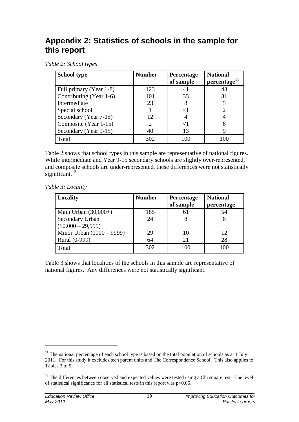# <span id="page-21-0"></span>**Appendix 2: Statistics of schools in the sample for this report**

*Table 2: School types*

| <b>School type</b>      | <b>Number</b> | Percentage<br>of sample | <b>National</b><br>percentage <sup>11</sup> |
|-------------------------|---------------|-------------------------|---------------------------------------------|
| Full primary (Year 1-8) | 123           | 41                      | 43                                          |
| Contributing (Year 1-6) | 101           | 33                      | 31                                          |
| Intermediate            | 23            | 8                       |                                             |
| Special school          |               |                         |                                             |
| Secondary (Year 7-15)   | 12            |                         |                                             |
| Composite (Year 1-15)   |               |                         |                                             |
| Secondary (Year 9-15)   | 40            | 13                      |                                             |
| Total                   | 302           | 100                     |                                             |

Table 2 shows that school types in this sample are representative of national figures. While intermediate and Year 9-15 secondary schools are slightly over-represented, and composite schools are under-represented, these differences were not statistically significant. $12$ 

*Table 3: Locality*

| Locality                  | <b>Number</b> | <b>Percentage</b><br>of sample | <b>National</b><br>percentage |
|---------------------------|---------------|--------------------------------|-------------------------------|
| Main Urban $(30,000+)$    | 185           |                                | 54                            |
| Secondary Urban           | 24            |                                |                               |
| $(10,000 - 29,999)$       |               |                                |                               |
| Minor Urban (1000 – 9999) | 29            | 10                             | 12                            |
| Rural (0-999)             | 64            | 21                             | 28                            |
| Total                     | 302           | 100                            | 100                           |

Table 3 shows that localities of the schools in this sample are representative of national figures. Any differences were not statistically significant.

 $11$  The national percentage of each school type is based on the total population of schools as at 1 July 2011. For this study it excludes teen parent units and The Correspondence School. This also applies to Tables 3 to 5.

<sup>&</sup>lt;sup>12</sup> The differences between observed and expected values were tested using a Chi square test. The level of statistical significance for all statistical tests in this report was p<0.05.